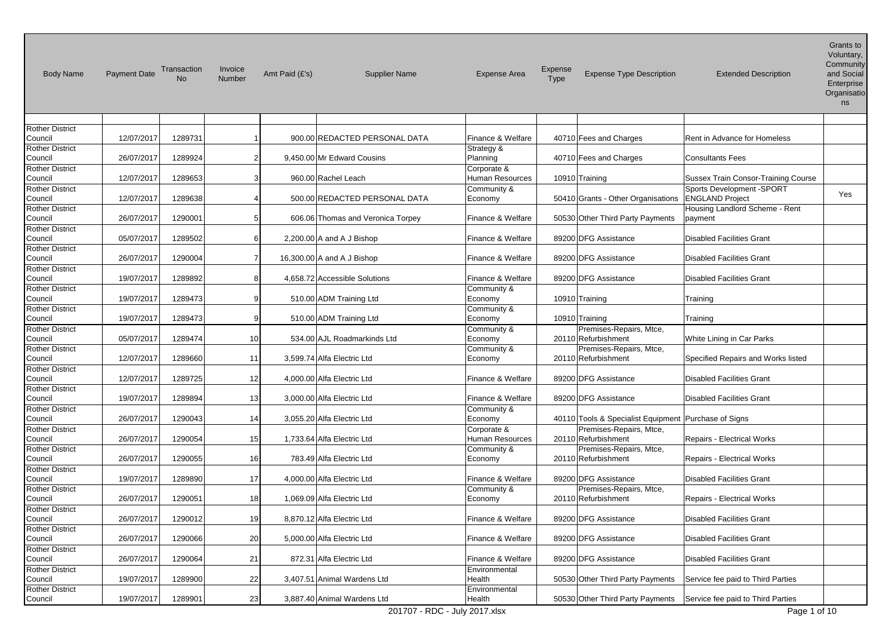| <b>Body Name</b>                  | <b>Payment Date</b> | Transaction<br><b>No</b> | Invoice<br>Number | Amt Paid (£'s) | <b>Supplier Name</b>              | <b>Expense Area</b>            | Expense<br>Type | <b>Expense Type Description</b>                        | <b>Extended Description</b>                         | Grants to<br>Voluntary,<br>Community<br>and Social<br>Enterprise<br>Organisatio<br>ns |
|-----------------------------------|---------------------|--------------------------|-------------------|----------------|-----------------------------------|--------------------------------|-----------------|--------------------------------------------------------|-----------------------------------------------------|---------------------------------------------------------------------------------------|
|                                   |                     |                          |                   |                |                                   |                                |                 |                                                        |                                                     |                                                                                       |
| <b>Rother District</b>            |                     |                          |                   |                |                                   |                                |                 |                                                        |                                                     |                                                                                       |
| Council                           | 12/07/2017          | 1289731                  |                   |                | 900.00 REDACTED PERSONAL DATA     | Finance & Welfare              |                 | 40710 Fees and Charges                                 | Rent in Advance for Homeless                        |                                                                                       |
| <b>Rother District</b><br>Council | 26/07/2017          | 1289924                  | $\overline{2}$    |                | 9,450.00 Mr Edward Cousins        | Strategy &<br>Planning         |                 | 40710 Fees and Charges                                 | <b>Consultants Fees</b>                             |                                                                                       |
| <b>Rother District</b><br>Council | 12/07/2017          | 1289653                  | 3                 |                | 960.00 Rachel Leach               | Corporate &<br>Human Resources |                 | 10910 Training                                         | Sussex Train Consor-Training Course                 |                                                                                       |
| <b>Rother District</b><br>Council | 12/07/2017          | 1289638                  |                   |                | 500.00 REDACTED PERSONAL DATA     | Community &<br>Economy         |                 | 50410 Grants - Other Organisations                     | Sports Development -SPORT<br><b>ENGLAND Project</b> | Yes                                                                                   |
| <b>Rother District</b><br>Council | 26/07/2017          | 1290001                  | 5                 |                | 606.06 Thomas and Veronica Torpey | Finance & Welfare              |                 | 50530 Other Third Party Payments                       | Housing Landlord Scheme - Rent<br>payment           |                                                                                       |
| Rother District<br>Council        | 05/07/2017          | 1289502                  | 6                 |                | 2,200.00 A and A J Bishop         | Finance & Welfare              |                 | 89200 DFG Assistance                                   | <b>Disabled Facilities Grant</b>                    |                                                                                       |
| <b>Rother District</b><br>Council | 26/07/2017          | 1290004                  |                   |                | 16,300.00 A and A J Bishop        | Finance & Welfare              |                 | 89200 DFG Assistance                                   | <b>Disabled Facilities Grant</b>                    |                                                                                       |
| <b>Rother District</b><br>Council | 19/07/2017          | 1289892                  | 8                 |                | 4.658.72 Accessible Solutions     | Finance & Welfare              |                 | 89200 DFG Assistance                                   | <b>Disabled Facilities Grant</b>                    |                                                                                       |
| <b>Rother District</b><br>Council | 19/07/2017          | 1289473                  | 9                 |                | 510.00 ADM Training Ltd           | Community &<br>Economy         |                 | 10910 Training                                         | Training                                            |                                                                                       |
| <b>Rother District</b><br>Council | 19/07/2017          | 1289473                  | 9                 |                | 510.00 ADM Training Ltd           | Community &<br>Economy         |                 | 10910 Training                                         | Training                                            |                                                                                       |
| <b>Rother District</b><br>Council | 05/07/2017          | 1289474                  | 10l               |                | 534.00 AJL Roadmarkinds Ltd       | Community &<br>Economy         |                 | Premises-Repairs, Mtce,<br>20110 Refurbishment         | White Lining in Car Parks                           |                                                                                       |
| <b>Rother District</b><br>Council | 12/07/2017          | 1289660                  | 11                |                | 3,599.74 Alfa Electric Ltd        | Community &<br>Economy         |                 | Premises-Repairs, Mtce,<br>20110 Refurbishment         | Specified Repairs and Works listed                  |                                                                                       |
| <b>Rother District</b><br>Council | 12/07/2017          | 1289725                  | 12                |                | 4,000.00 Alfa Electric Ltd        | Finance & Welfare              |                 | 89200 DFG Assistance                                   | <b>Disabled Facilities Grant</b>                    |                                                                                       |
| <b>Rother District</b><br>Council | 19/07/2017          | 1289894                  | 13 <sup>1</sup>   |                | 3,000.00 Alfa Electric Ltd        | Finance & Welfare              |                 | 89200 DFG Assistance                                   | <b>Disabled Facilities Grant</b>                    |                                                                                       |
| <b>Rother District</b><br>Council | 26/07/2017          | 1290043                  | 14                |                | 3,055.20 Alfa Electric Ltd        | Community &<br>Economy         |                 | 40110 Tools & Specialist Equipment   Purchase of Signs |                                                     |                                                                                       |
| <b>Rother District</b><br>Council | 26/07/2017          | 1290054                  | 15 <sup>1</sup>   |                | 1,733.64 Alfa Electric Ltd        | Corporate &<br>Human Resources |                 | Premises-Repairs, Mtce,<br>20110 Refurbishment         | Repairs - Electrical Works                          |                                                                                       |
| <b>Rother District</b><br>Council | 26/07/2017          | 1290055                  | 16l               |                | 783.49 Alfa Electric Ltd          | Community &<br>Economy         |                 | Premises-Repairs, Mtce,<br>20110 Refurbishment         | <b>Repairs - Electrical Works</b>                   |                                                                                       |
| <b>Rother District</b><br>Council | 19/07/2017          | 1289890                  | 17                |                | 4,000.00 Alfa Electric Ltd        | Finance & Welfare              |                 | 89200 DFG Assistance                                   | <b>Disabled Facilities Grant</b>                    |                                                                                       |
| <b>Rother District</b><br>Council | 26/07/2017          | 1290051                  | 18                |                | 1,069.09 Alfa Electric Ltd        | Community &<br>Economy         |                 | Premises-Repairs, Mtce,<br>20110 Refurbishment         | Repairs - Electrical Works                          |                                                                                       |
| <b>Rother District</b><br>Council | 26/07/2017          | 1290012                  | 19                |                | 8,870.12 Alfa Electric Ltd        | Finance & Welfare              |                 | 89200 DFG Assistance                                   | <b>Disabled Facilities Grant</b>                    |                                                                                       |
| <b>Rother District</b><br>Council | 26/07/2017          | 1290066                  | 20                |                | 5,000.00 Alfa Electric Ltd        | Finance & Welfare              |                 | 89200 DFG Assistance                                   | <b>Disabled Facilities Grant</b>                    |                                                                                       |
| <b>Rother District</b><br>Council | 26/07/2017          | 1290064                  | 21                |                | 872.31 Alfa Electric Ltd          | Finance & Welfare              |                 | 89200 DFG Assistance                                   | Disabled Facilities Grant                           |                                                                                       |
| <b>Rother District</b><br>Council | 19/07/2017          | 1289900                  | 22                |                | 3,407.51 Animal Wardens Ltd       | Environmental<br>Health        |                 | 50530 Other Third Party Payments                       | Service fee paid to Third Parties                   |                                                                                       |
| <b>Rother District</b><br>Council | 19/07/2017          | 1289901                  | 23 <sub>l</sub>   |                | 3,887.40 Animal Wardens Ltd       | Environmental<br>Health        |                 | 50530 Other Third Party Payments                       | Service fee paid to Third Parties                   |                                                                                       |
|                                   |                     |                          |                   |                | 201707 - RDC - July 2017.xlsx     |                                |                 |                                                        | Page 1 of 10                                        |                                                                                       |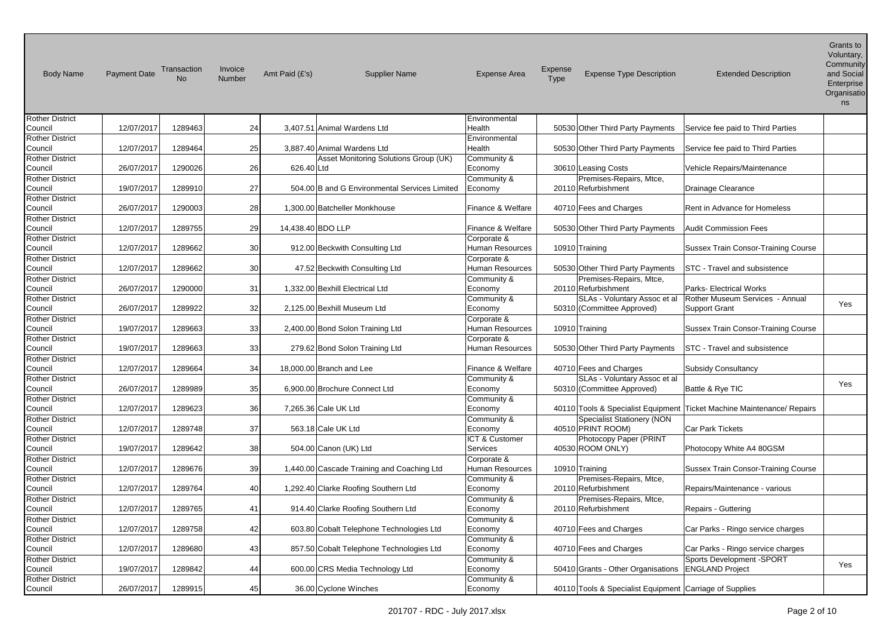| <b>Body Name</b>       | <b>Payment Date</b> | Transaction<br><b>No</b> | Invoice<br>Number | Amt Paid (£'s)    | <b>Supplier Name</b>                          | <b>Expense Area</b> | Expense<br>Type | <b>Expense Type Description</b>                         | <b>Extended Description</b>                | Grants to<br>Voluntary,<br>Community<br>and Social<br>Enterprise<br>Organisatio<br>ns |
|------------------------|---------------------|--------------------------|-------------------|-------------------|-----------------------------------------------|---------------------|-----------------|---------------------------------------------------------|--------------------------------------------|---------------------------------------------------------------------------------------|
| <b>Rother District</b> |                     |                          |                   |                   |                                               | Environmental       |                 |                                                         |                                            |                                                                                       |
| Council                | 12/07/2017          | 1289463                  | 24                |                   | 3,407.51 Animal Wardens Ltd                   | Health              |                 | 50530 Other Third Party Payments                        | Service fee paid to Third Parties          |                                                                                       |
| <b>Rother District</b> |                     |                          |                   |                   |                                               | Environmental       |                 |                                                         |                                            |                                                                                       |
| Council                | 12/07/2017          | 1289464                  | 25                |                   | 3,887.40 Animal Wardens Ltd                   | Health              |                 | 50530 Other Third Party Payments                        | Service fee paid to Third Parties          |                                                                                       |
| <b>Rother District</b> |                     |                          |                   |                   | Asset Monitoring Solutions Group (UK)         | Community &         |                 |                                                         |                                            |                                                                                       |
| Council                | 26/07/2017          | 1290026                  | 26                | 626.40 Ltd        |                                               | Economy             |                 | 30610 Leasing Costs                                     | Vehicle Repairs/Maintenance                |                                                                                       |
| <b>Rother District</b> |                     |                          |                   |                   |                                               | Community &         |                 | Premises-Repairs, Mtce,                                 |                                            |                                                                                       |
| Council                | 19/07/2017          | 1289910                  | 27                |                   | 504.00 B and G Environmental Services Limited | Economy             |                 | 20110 Refurbishment                                     | Drainage Clearance                         |                                                                                       |
| <b>Rother District</b> |                     |                          |                   |                   |                                               |                     |                 |                                                         |                                            |                                                                                       |
| Council                | 26/07/2017          | 1290003                  | 28                |                   | 1,300.00 Batcheller Monkhouse                 | Finance & Welfare   |                 | 40710 Fees and Charges                                  | Rent in Advance for Homeless               |                                                                                       |
| Rother District        |                     |                          |                   |                   |                                               |                     |                 |                                                         |                                            |                                                                                       |
| Council                | 12/07/2017          | 1289755                  | 29                | 14,438.40 BDO LLP |                                               | Finance & Welfare   |                 | 50530 Other Third Party Payments                        | <b>Audit Commission Fees</b>               |                                                                                       |
| <b>Rother District</b> |                     |                          |                   |                   |                                               | Corporate &         |                 |                                                         |                                            |                                                                                       |
| Council                | 12/07/2017          | 1289662                  | 30                |                   | 912.00 Beckwith Consulting Ltd                | Human Resources     |                 | 10910 Training                                          | <b>Sussex Train Consor-Training Course</b> |                                                                                       |
| <b>Rother District</b> |                     |                          |                   |                   |                                               | Corporate &         |                 |                                                         |                                            |                                                                                       |
| Council                | 12/07/2017          | 1289662                  | 30                |                   | 47.52 Beckwith Consulting Ltd                 | Human Resources     |                 | 50530 Other Third Party Payments                        | STC - Travel and subsistence               |                                                                                       |
| <b>Rother District</b> |                     |                          |                   |                   |                                               | Community &         |                 | Premises-Repairs, Mtce,                                 |                                            |                                                                                       |
| Council                | 26/07/2017          | 1290000                  | 31                |                   | 1,332.00 Bexhill Electrical Ltd               | Economy             |                 | 20110 Refurbishment                                     | <b>Parks- Electrical Works</b>             |                                                                                       |
| <b>Rother District</b> |                     |                          |                   |                   |                                               | Community &         |                 | SLAs - Voluntary Assoc et al                            | Rother Museum Services - Annual            |                                                                                       |
| Council                | 26/07/2017          | 1289922                  | 32                |                   | 2,125.00 Bexhill Museum Ltd                   | Economy             |                 | 50310 (Committee Approved)                              | <b>Support Grant</b>                       | Yes                                                                                   |
| <b>Rother District</b> |                     |                          |                   |                   |                                               | Corporate &         |                 |                                                         |                                            |                                                                                       |
| Council                | 19/07/2017          | 1289663                  | 33                |                   | 2,400.00 Bond Solon Training Ltd              | Human Resources     |                 | 10910 Training                                          | <b>Sussex Train Consor-Training Course</b> |                                                                                       |
| <b>Rother District</b> |                     |                          |                   |                   |                                               | Corporate &         |                 |                                                         |                                            |                                                                                       |
| Council                | 19/07/2017          | 1289663                  | 33                |                   | 279.62 Bond Solon Training Ltd                | Human Resources     |                 | 50530 Other Third Party Payments                        | STC - Travel and subsistence               |                                                                                       |
| <b>Rother District</b> |                     |                          |                   |                   |                                               |                     |                 |                                                         |                                            |                                                                                       |
| Council                | 12/07/2017          | 1289664                  | 34                |                   | 18,000.00 Branch and Lee                      | Finance & Welfare   |                 | 40710 Fees and Charges                                  | <b>Subsidy Consultancy</b>                 |                                                                                       |
| <b>Rother District</b> |                     |                          |                   |                   |                                               | Community &         |                 | SLAs - Voluntary Assoc et al                            |                                            |                                                                                       |
| Council                | 26/07/2017          | 1289989                  | 35                |                   | 6,900.00 Brochure Connect Ltd                 | Economy             |                 | 50310 (Committee Approved)                              | Battle & Rye TIC                           | Yes                                                                                   |
| <b>Rother District</b> |                     |                          |                   |                   |                                               | Community &         |                 |                                                         |                                            |                                                                                       |
| Council                | 12/07/2017          | 1289623                  | 36                |                   | 7,265.36 Cale UK Ltd                          | Economy             |                 | 40110 Tools & Specialist Equipment                      | <b>Ticket Machine Maintenance/ Repairs</b> |                                                                                       |
| <b>Rother District</b> |                     |                          |                   |                   |                                               | Community &         |                 | Specialist Stationery (NON                              |                                            |                                                                                       |
| Council                | 12/07/2017          | 1289748                  | 37                |                   | 563.18 Cale UK Ltd                            | Economy             |                 | 40510 PRINT ROOM)                                       | <b>Car Park Tickets</b>                    |                                                                                       |
| <b>Rother District</b> |                     |                          |                   |                   |                                               | ICT & Customer      |                 | Photocopy Paper (PRINT                                  |                                            |                                                                                       |
| Council                | 19/07/2017          | 1289642                  | 38                |                   | 504.00 Canon (UK) Ltd                         | Services            |                 | 40530 ROOM ONLY)                                        | Photocopy White A4 80GSM                   |                                                                                       |
| <b>Rother District</b> |                     |                          |                   |                   |                                               | Corporate &         |                 |                                                         |                                            |                                                                                       |
| Council                | 12/07/2017          | 1289676                  | 39                |                   | 1,440.00 Cascade Training and Coaching Ltd    | Human Resources     |                 | 10910 Training                                          | <b>Sussex Train Consor-Training Course</b> |                                                                                       |
| <b>Rother District</b> |                     |                          |                   |                   |                                               | Community &         |                 | Premises-Repairs, Mtce,                                 |                                            |                                                                                       |
| Council                | 12/07/2017          | 1289764                  | 40                |                   | 1,292.40 Clarke Roofing Southern Ltd          | Economy             |                 | 20110 Refurbishment                                     | Repairs/Maintenance - various              |                                                                                       |
| <b>Rother District</b> |                     |                          |                   |                   |                                               | Community &         |                 | Premises-Repairs, Mtce,                                 |                                            |                                                                                       |
| Council                | 12/07/2017          | 1289765                  | 41                |                   | 914.40 Clarke Roofing Southern Ltd            | Economy             |                 | 20110 Refurbishment                                     | Repairs - Guttering                        |                                                                                       |
| <b>Rother District</b> |                     |                          |                   |                   |                                               | Community &         |                 |                                                         |                                            |                                                                                       |
| Council                | 12/07/2017          | 1289758                  | 42                |                   | 603.80 Cobalt Telephone Technologies Ltd      | Economy             |                 | 40710 Fees and Charges                                  | Car Parks - Ringo service charges          |                                                                                       |
| <b>Rother District</b> |                     |                          |                   |                   |                                               | Community &         |                 |                                                         |                                            |                                                                                       |
| Council                | 12/07/2017          | 1289680                  | 43                |                   | 857.50 Cobalt Telephone Technologies Ltd      | Economy             |                 | 40710 Fees and Charges                                  | Car Parks - Ringo service charges          |                                                                                       |
| Rother District        |                     |                          |                   |                   |                                               | Community &         |                 |                                                         | Sports Development -SPORT                  |                                                                                       |
| Council                | 19/07/2017          | 1289842                  | 44                |                   | 600.00 CRS Media Technology Ltd               | Economy             |                 | 50410 Grants - Other Organisations                      | <b>ENGLAND Project</b>                     | Yes                                                                                   |
| <b>Rother District</b> |                     |                          |                   |                   |                                               | Community &         |                 |                                                         |                                            |                                                                                       |
| Council                | 26/07/2017          | 1289915                  | 45                |                   | 36.00 Cyclone Winches                         | Economy             |                 | 40110 Tools & Specialist Equipment Carriage of Supplies |                                            |                                                                                       |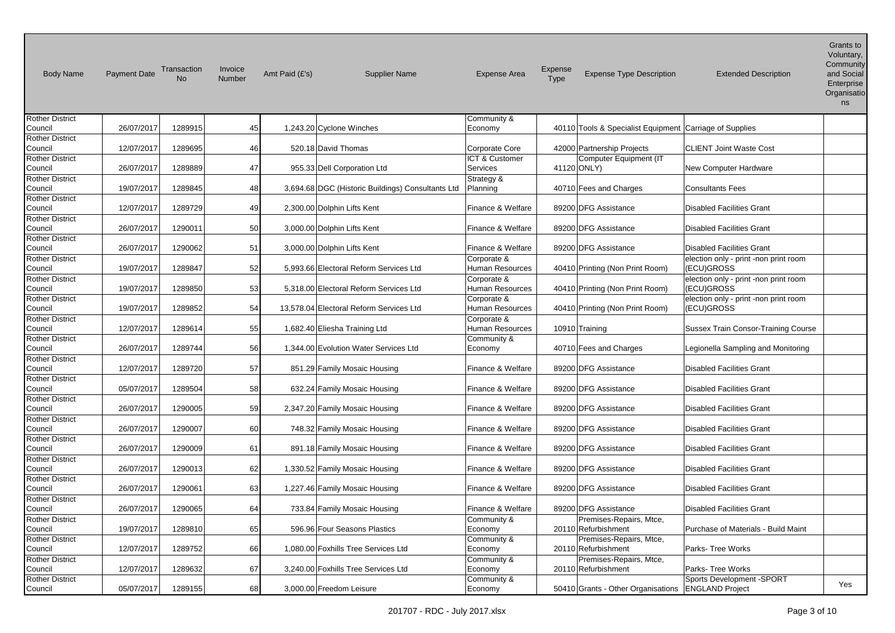| <b>Body Name</b>       | <b>Payment Date</b> | Transaction<br><b>No</b> | Invoice<br>Number | Amt Paid (£'s) | <b>Supplier Name</b>                              | <b>Expense Area</b>    | <b>Expense</b><br>Type | <b>Expense Type Description</b>                         | <b>Extended Description</b>           | Grants to<br>Voluntary,<br>Community<br>and Social<br>Enterprise<br>Organisatio<br>ns |
|------------------------|---------------------|--------------------------|-------------------|----------------|---------------------------------------------------|------------------------|------------------------|---------------------------------------------------------|---------------------------------------|---------------------------------------------------------------------------------------|
| <b>Rother District</b> |                     |                          |                   |                |                                                   | Community &            |                        |                                                         |                                       |                                                                                       |
| Council                | 26/07/2017          | 1289915                  | 45                |                | 1,243.20 Cyclone Winches                          | Economy                |                        | 40110 Tools & Specialist Equipment Carriage of Supplies |                                       |                                                                                       |
| <b>Rother District</b> |                     |                          |                   |                |                                                   |                        |                        |                                                         |                                       |                                                                                       |
| Council                | 12/07/2017          | 1289695                  | 46                |                | 520.18 David Thomas                               | Corporate Core         |                        | 42000 Partnership Projects                              | <b>CLIENT Joint Waste Cost</b>        |                                                                                       |
| <b>Rother District</b> |                     |                          |                   |                |                                                   | ICT & Customer         |                        | Computer Equipment (IT                                  |                                       |                                                                                       |
| Council                | 26/07/2017          | 1289889                  | 47                |                | 955.33 Dell Corporation Ltd                       | Services               |                        | 41120 ONLY)                                             | New Computer Hardware                 |                                                                                       |
| <b>Rother District</b> |                     |                          |                   |                |                                                   | Strategy &             |                        |                                                         |                                       |                                                                                       |
| Council                | 19/07/2017          | 1289845                  | 48                |                | 3,694.68 DGC (Historic Buildings) Consultants Ltd | Planning               |                        | 40710 Fees and Charges                                  | <b>Consultants Fees</b>               |                                                                                       |
| <b>Rother District</b> |                     |                          |                   |                |                                                   |                        |                        |                                                         |                                       |                                                                                       |
| Council                | 12/07/2017          | 1289729                  | 49                |                | 2,300.00 Dolphin Lifts Kent                       | Finance & Welfare      |                        | 89200 DFG Assistance                                    | Disabled Facilities Grant             |                                                                                       |
| <b>Rother District</b> |                     |                          |                   |                |                                                   |                        |                        |                                                         |                                       |                                                                                       |
| Council                | 26/07/2017          | 1290011                  | 50                |                | 3,000.00 Dolphin Lifts Kent                       | Finance & Welfare      |                        | 89200 DFG Assistance                                    | <b>Disabled Facilities Grant</b>      |                                                                                       |
| Rother District        |                     |                          |                   |                |                                                   |                        |                        |                                                         |                                       |                                                                                       |
| Council                | 26/07/2017          | 1290062                  | 51                |                | 3,000.00 Dolphin Lifts Kent                       | Finance & Welfare      |                        | 89200 DFG Assistance                                    | <b>Disabled Facilities Grant</b>      |                                                                                       |
| <b>Rother District</b> |                     |                          |                   |                |                                                   | Corporate &            |                        |                                                         | election only - print -non print room |                                                                                       |
| Council                | 19/07/2017          | 1289847                  | 52                |                | 5,993.66 Electoral Reform Services Ltd            | Human Resources        |                        | 40410 Printing (Non Print Room)                         | (ECU)GROSS                            |                                                                                       |
| <b>Rother District</b> |                     |                          |                   |                |                                                   | Corporate &            |                        |                                                         | election only - print -non print room |                                                                                       |
| Council                | 19/07/2017          | 1289850                  | 53                |                | 5,318.00 Electoral Reform Services Ltd            | Human Resources        |                        | 40410 Printing (Non Print Room)                         | (ECU)GROSS                            |                                                                                       |
| Rother District        |                     |                          |                   |                |                                                   | Corporate &            |                        |                                                         | election only - print -non print room |                                                                                       |
| Council                | 19/07/2017          | 1289852                  | 54                |                | 13,578.04 Electoral Reform Services Ltd           | <b>Human Resources</b> |                        | 40410 Printing (Non Print Room)                         | (ECU)GROSS                            |                                                                                       |
| Rother District        |                     |                          |                   |                |                                                   | Corporate &            |                        |                                                         |                                       |                                                                                       |
| Council                | 12/07/2017          | 1289614                  | 55                |                | 1,682.40 Eliesha Training Ltd                     | Human Resources        |                        | 10910 Training                                          | Sussex Train Consor-Training Course   |                                                                                       |
| <b>Rother District</b> |                     |                          |                   |                |                                                   | Community &            |                        |                                                         |                                       |                                                                                       |
| Council                | 26/07/2017          | 1289744                  | 56                |                | 1,344.00 Evolution Water Services Ltd             | Economy                |                        | 40710 Fees and Charges                                  | Legionella Sampling and Monitoring    |                                                                                       |
| Rother District        |                     |                          |                   |                |                                                   |                        |                        |                                                         |                                       |                                                                                       |
| Council                | 12/07/2017          | 1289720                  | 57                |                | 851.29 Family Mosaic Housing                      | Finance & Welfare      |                        | 89200 DFG Assistance                                    | <b>Disabled Facilities Grant</b>      |                                                                                       |
| Rother District        |                     |                          |                   |                |                                                   |                        |                        |                                                         |                                       |                                                                                       |
| Council                | 05/07/2017          | 1289504                  | 58                |                | 632.24 Family Mosaic Housing                      | Finance & Welfare      |                        | 89200 DFG Assistance                                    | <b>Disabled Facilities Grant</b>      |                                                                                       |
| Rother District        |                     |                          |                   |                |                                                   |                        |                        |                                                         |                                       |                                                                                       |
| Council                | 26/07/2017          | 1290005                  | 59                |                | 2,347.20 Family Mosaic Housing                    | Finance & Welfare      |                        | 89200 DFG Assistance                                    | <b>Disabled Facilities Grant</b>      |                                                                                       |
| <b>Rother District</b> |                     |                          |                   |                |                                                   |                        |                        |                                                         |                                       |                                                                                       |
| Council                | 26/07/2017          | 1290007                  | 60                |                | 748.32 Family Mosaic Housing                      | Finance & Welfare      |                        | 89200 DFG Assistance                                    | <b>Disabled Facilities Grant</b>      |                                                                                       |
| Rother District        |                     |                          |                   |                |                                                   |                        |                        |                                                         |                                       |                                                                                       |
| Council                | 26/07/2017          | 1290009                  | 61                |                | 891.18 Family Mosaic Housing                      | Finance & Welfare      |                        | 89200 DFG Assistance                                    | <b>Disabled Facilities Grant</b>      |                                                                                       |
| <b>Rother District</b> |                     |                          |                   |                |                                                   |                        |                        |                                                         |                                       |                                                                                       |
| Council                | 26/07/2017          | 1290013                  | 62                |                | 1,330.52 Family Mosaic Housing                    | Finance & Welfare      |                        | 89200 DFG Assistance                                    | <b>Disabled Facilities Grant</b>      |                                                                                       |
| <b>Rother District</b> |                     |                          |                   |                |                                                   |                        |                        |                                                         |                                       |                                                                                       |
| Council                | 26/07/2017          | 1290061                  | 63                |                | 1,227.46 Family Mosaic Housing                    | Finance & Welfare      |                        | 89200 DFG Assistance                                    | <b>Disabled Facilities Grant</b>      |                                                                                       |
| <b>Rother District</b> |                     |                          |                   |                |                                                   |                        |                        |                                                         |                                       |                                                                                       |
| Council                | 26/07/2017          | 1290065                  | 64                |                | 733.84 Family Mosaic Housing                      | Finance & Welfare      |                        | 89200 DFG Assistance                                    | <b>Disabled Facilities Grant</b>      |                                                                                       |
| <b>Rother District</b> |                     |                          |                   |                |                                                   | Community &            |                        | Premises-Repairs, Mtce,                                 |                                       |                                                                                       |
| Council                | 19/07/2017          | 1289810                  | 65                |                | 596.96 Four Seasons Plastics                      | Economy                |                        | 20110 Refurbishment                                     | Purchase of Materials - Build Maint   |                                                                                       |
| <b>Rother District</b> |                     |                          |                   |                |                                                   | Community &            |                        | Premises-Repairs, Mtce,                                 |                                       |                                                                                       |
| Council                | 12/07/2017          | 1289752                  | 66                |                | 1,080.00 Foxhills Tree Services Ltd               | Economy                |                        | 20110 Refurbishment                                     | <b>Parks-Tree Works</b>               |                                                                                       |
| <b>Rother District</b> |                     |                          |                   |                |                                                   | Community &            |                        | Premises-Repairs, Mtce,                                 |                                       |                                                                                       |
| Council                | 12/07/2017          | 1289632                  | 67                |                | 3,240.00 Foxhills Tree Services Ltd               | Economy                |                        | 20110 Refurbishment                                     | Parks- Tree Works                     |                                                                                       |
| Rother District        |                     |                          |                   |                |                                                   | Community &            |                        |                                                         | Sports Development -SPORT             | Yes                                                                                   |
| Council                | 05/07/2017          | 1289155                  | 68                |                | 3,000.00 Freedom Leisure                          | Economy                |                        | 50410 Grants - Other Organisations                      | <b>ENGLAND Project</b>                |                                                                                       |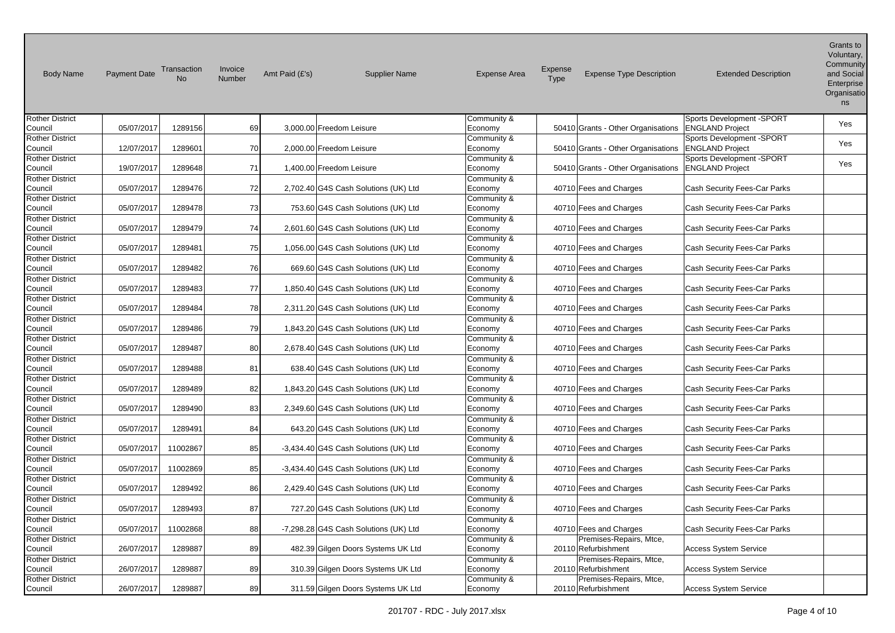| <b>Body Name</b>                  | <b>Payment Date</b> | Transaction<br>No | Invoice<br>Number | Amt Paid (£'s) | <b>Supplier Name</b>                  | <b>Expense Area</b>    | Expense<br>Type | <b>Expense Type Description</b>    | <b>Extended Description</b>  | Grants to<br>Voluntary,<br>Community<br>and Social<br>Enterprise<br>Organisatio<br>ns |
|-----------------------------------|---------------------|-------------------|-------------------|----------------|---------------------------------------|------------------------|-----------------|------------------------------------|------------------------------|---------------------------------------------------------------------------------------|
| <b>Rother District</b>            |                     |                   |                   |                |                                       | Community &            |                 |                                    | Sports Development -SPORT    | Yes                                                                                   |
| Council                           | 05/07/2017          | 1289156           | 69                |                | 3,000.00 Freedom Leisure              | Economy                |                 | 50410 Grants - Other Organisations | <b>ENGLAND Project</b>       |                                                                                       |
| <b>Rother District</b>            |                     |                   |                   |                |                                       | Community &            |                 |                                    | Sports Development -SPORT    | Yes                                                                                   |
| Council                           | 12/07/2017          | 1289601           | 70l               |                | 2,000.00 Freedom Leisure              | Economy                |                 | 50410 Grants - Other Organisations | <b>ENGLAND Project</b>       |                                                                                       |
| <b>Rother District</b>            |                     |                   |                   |                |                                       | Community &            |                 |                                    | Sports Development -SPORT    | Yes                                                                                   |
| Council<br><b>Rother District</b> | 19/07/2017          | 1289648           | 71                |                | 1,400.00 Freedom Leisure              | Economy                |                 | 50410 Grants - Other Organisations | <b>ENGLAND Project</b>       |                                                                                       |
| Council                           | 05/07/2017          | 1289476           | 72                |                | 2,702.40 G4S Cash Solutions (UK) Ltd  | Community &<br>Economy |                 | 40710 Fees and Charges             | Cash Security Fees-Car Parks |                                                                                       |
| <b>Rother District</b>            |                     |                   |                   |                |                                       |                        |                 |                                    |                              |                                                                                       |
| Council                           | 05/07/2017          | 1289478           | 73                |                | 753.60 G4S Cash Solutions (UK) Ltd    | Community &<br>Economy |                 | 40710 Fees and Charges             | Cash Security Fees-Car Parks |                                                                                       |
| <b>Rother District</b>            |                     |                   |                   |                |                                       | Community &            |                 |                                    |                              |                                                                                       |
| Council                           | 05/07/2017          | 1289479           | 74                |                | 2,601.60 G4S Cash Solutions (UK) Ltd  | Economy                |                 | 40710 Fees and Charges             | Cash Security Fees-Car Parks |                                                                                       |
| <b>Rother District</b>            |                     |                   |                   |                |                                       | Community &            |                 |                                    |                              |                                                                                       |
| Council                           | 05/07/2017          | 1289481           | 75                |                | 1,056.00 G4S Cash Solutions (UK) Ltd  | Economy                |                 | 40710 Fees and Charges             | Cash Security Fees-Car Parks |                                                                                       |
| <b>Rother District</b>            |                     |                   |                   |                |                                       | Community &            |                 |                                    |                              |                                                                                       |
| Council                           | 05/07/2017          | 1289482           | 76                |                | 669.60 G4S Cash Solutions (UK) Ltd    | Economy                |                 | 40710 Fees and Charges             | Cash Security Fees-Car Parks |                                                                                       |
| <b>Rother District</b>            |                     |                   |                   |                |                                       | Community &            |                 |                                    |                              |                                                                                       |
| Council                           | 05/07/2017          | 1289483           | 77                |                | 1,850.40 G4S Cash Solutions (UK) Ltd  | Economy                |                 | 40710 Fees and Charges             | Cash Security Fees-Car Parks |                                                                                       |
| <b>Rother District</b>            |                     |                   |                   |                |                                       | Community &            |                 |                                    |                              |                                                                                       |
| Council                           | 05/07/2017          | 1289484           | 78                |                | 2,311.20 G4S Cash Solutions (UK) Ltd  | Economy                |                 | 40710 Fees and Charges             | Cash Security Fees-Car Parks |                                                                                       |
| <b>Rother District</b>            |                     |                   |                   |                |                                       | Community &            |                 |                                    |                              |                                                                                       |
| Council                           | 05/07/2017          | 1289486           | 79                |                | 1,843.20 G4S Cash Solutions (UK) Ltd  | Economy                |                 | 40710 Fees and Charges             | Cash Security Fees-Car Parks |                                                                                       |
| <b>Rother District</b>            |                     |                   |                   |                |                                       | Community &            |                 |                                    |                              |                                                                                       |
| Council                           | 05/07/2017          | 1289487           | 80                |                | 2,678.40 G4S Cash Solutions (UK) Ltd  | Economy                |                 | 40710 Fees and Charges             | Cash Security Fees-Car Parks |                                                                                       |
| <b>Rother District</b>            |                     |                   |                   |                |                                       | Community &            |                 |                                    |                              |                                                                                       |
| Council                           | 05/07/2017          | 1289488           | 81                |                | 638.40 G4S Cash Solutions (UK) Ltd    | Economy                |                 | 40710 Fees and Charges             | Cash Security Fees-Car Parks |                                                                                       |
| <b>Rother District</b>            |                     |                   |                   |                |                                       | Community &            |                 |                                    |                              |                                                                                       |
| Council                           | 05/07/2017          | 1289489           | 82                |                | 1,843.20 G4S Cash Solutions (UK) Ltd  | Economy                |                 | 40710 Fees and Charges             | Cash Security Fees-Car Parks |                                                                                       |
| <b>Rother District</b><br>Council | 05/07/2017          | 1289490           | 83                |                | 2,349.60 G4S Cash Solutions (UK) Ltd  | Community &            |                 | 40710 Fees and Charges             | Cash Security Fees-Car Parks |                                                                                       |
| <b>Rother District</b>            |                     |                   |                   |                |                                       | Economy<br>Community & |                 |                                    |                              |                                                                                       |
| Council                           | 05/07/2017          | 1289491           | 84                |                | 643.20 G4S Cash Solutions (UK) Ltd    | Economy                |                 | 40710 Fees and Charges             | Cash Security Fees-Car Parks |                                                                                       |
| <b>Rother District</b>            |                     |                   |                   |                |                                       | Community &            |                 |                                    |                              |                                                                                       |
| Council                           | 05/07/2017          | 11002867          | 85                |                | -3,434.40 G4S Cash Solutions (UK) Ltd | Economy                |                 | 40710 Fees and Charges             | Cash Security Fees-Car Parks |                                                                                       |
| <b>Rother District</b>            |                     |                   |                   |                |                                       | Community &            |                 |                                    |                              |                                                                                       |
| Council                           | 05/07/2017          | 11002869          | 85                |                | -3,434.40 G4S Cash Solutions (UK) Ltd | Economy                |                 | 40710 Fees and Charges             | Cash Security Fees-Car Parks |                                                                                       |
| <b>Rother District</b>            |                     |                   |                   |                |                                       | Community &            |                 |                                    |                              |                                                                                       |
| Council                           | 05/07/2017          | 1289492           | 86l               |                | 2,429.40 G4S Cash Solutions (UK) Ltd  | Economy                |                 | 40710 Fees and Charges             | Cash Security Fees-Car Parks |                                                                                       |
| <b>Rother District</b>            |                     |                   |                   |                |                                       | Community &            |                 |                                    |                              |                                                                                       |
| Council                           | 05/07/2017          | 1289493           | 87                |                | 727.20 G4S Cash Solutions (UK) Ltd    | Economy                |                 | 40710 Fees and Charges             | Cash Security Fees-Car Parks |                                                                                       |
| <b>Rother District</b>            |                     |                   |                   |                |                                       | Community &            |                 |                                    |                              |                                                                                       |
| Council                           | 05/07/2017          | 11002868          | 88                |                | -7,298.28 G4S Cash Solutions (UK) Ltd | Economy                |                 | 40710 Fees and Charges             | Cash Security Fees-Car Parks |                                                                                       |
| <b>Rother District</b>            |                     |                   |                   |                |                                       | Community &            |                 | Premises-Repairs, Mtce,            |                              |                                                                                       |
| Council                           | 26/07/2017          | 1289887           | 89                |                | 482.39 Gilgen Doors Systems UK Ltd    | Economy                |                 | 20110 Refurbishment                | <b>Access System Service</b> |                                                                                       |
| <b>Rother District</b>            |                     |                   |                   |                |                                       | Community &            |                 | Premises-Repairs, Mtce,            |                              |                                                                                       |
| Council                           | 26/07/2017          | 1289887           | 89                |                | 310.39 Gilgen Doors Systems UK Ltd    | Economy                |                 | 20110 Refurbishment                | <b>Access System Service</b> |                                                                                       |
| <b>Rother District</b>            |                     |                   |                   |                |                                       | Community &            |                 | Premises-Repairs, Mtce,            |                              |                                                                                       |
| Council                           | 26/07/2017          | 1289887           | 89                |                | 311.59 Gilgen Doors Systems UK Ltd    | Economy                |                 | 20110 Refurbishment                | <b>Access System Service</b> |                                                                                       |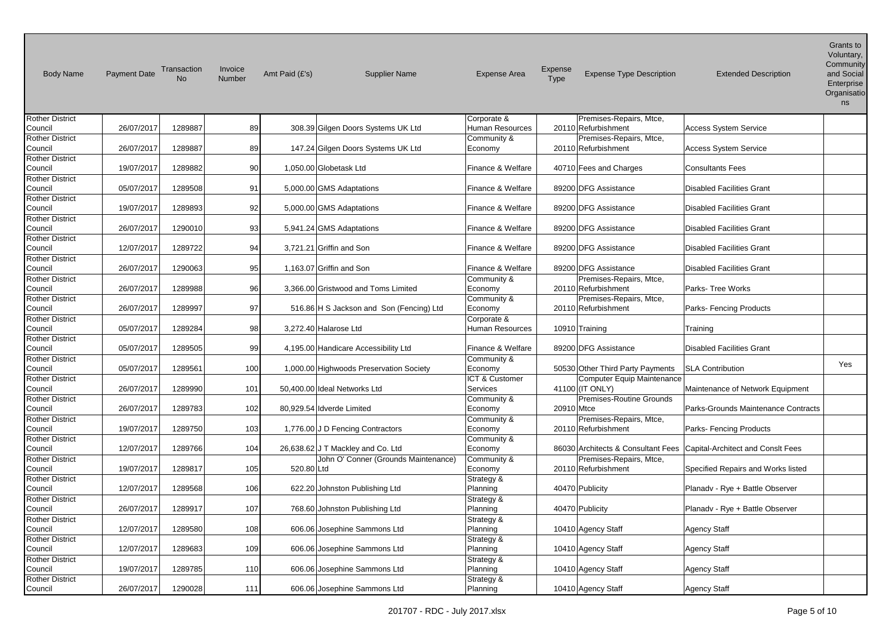| <b>Body Name</b>                  | <b>Payment Date</b> | Transaction<br><b>No</b> | Invoice<br>Number | Amt Paid (£'s) | <b>Supplier Name</b>                     | <b>Expense Area</b>       | Expense<br>Type | <b>Expense Type Description</b>                | <b>Extended Description</b>                                            | טו טוווס וט<br>Voluntary,<br>Community<br>and Social<br>Enterprise<br>Organisatio<br>ns |
|-----------------------------------|---------------------|--------------------------|-------------------|----------------|------------------------------------------|---------------------------|-----------------|------------------------------------------------|------------------------------------------------------------------------|-----------------------------------------------------------------------------------------|
| <b>Rother District</b>            |                     |                          |                   |                |                                          | Corporate &               |                 | Premises-Repairs, Mtce,                        |                                                                        |                                                                                         |
| Council                           | 26/07/2017          | 1289887                  | 89                |                | 308.39 Gilgen Doors Systems UK Ltd       | Human Resources           |                 | 20110 Refurbishment                            | <b>Access System Service</b>                                           |                                                                                         |
| <b>Rother District</b><br>Council | 26/07/2017          | 1289887                  | 89                |                | 147.24 Gilgen Doors Systems UK Ltd       | Community &<br>Economy    |                 | Premises-Repairs, Mtce,<br>20110 Refurbishment | <b>Access System Service</b>                                           |                                                                                         |
| <b>Rother District</b>            |                     |                          |                   |                |                                          |                           |                 |                                                |                                                                        |                                                                                         |
| Council                           | 19/07/2017          | 1289882                  | 90                |                | 1,050.00 Globetask Ltd                   | Finance & Welfare         |                 | 40710 Fees and Charges                         | <b>Consultants Fees</b>                                                |                                                                                         |
| <b>Rother District</b>            |                     |                          |                   |                |                                          |                           |                 |                                                |                                                                        |                                                                                         |
| Council                           | 05/07/2017          | 1289508                  | 91                |                | 5,000.00 GMS Adaptations                 | Finance & Welfare         |                 | 89200 DFG Assistance                           | <b>Disabled Facilities Grant</b>                                       |                                                                                         |
| <b>Rother District</b>            |                     |                          |                   |                |                                          |                           |                 |                                                |                                                                        |                                                                                         |
| Council                           | 19/07/2017          | 1289893                  | 92                |                | 5,000.00 GMS Adaptations                 | Finance & Welfare         |                 | 89200 DFG Assistance                           | <b>Disabled Facilities Grant</b>                                       |                                                                                         |
| <b>Rother District</b>            |                     |                          |                   |                |                                          |                           |                 |                                                |                                                                        |                                                                                         |
| Council                           | 26/07/2017          | 1290010                  | 93                |                | 5,941.24 GMS Adaptations                 | Finance & Welfare         |                 | 89200 DFG Assistance                           | Disabled Facilities Grant                                              |                                                                                         |
| <b>Rother District</b>            |                     |                          |                   |                |                                          |                           |                 |                                                |                                                                        |                                                                                         |
| Council                           | 12/07/2017          | 1289722                  | 94                |                | 3,721.21 Griffin and Son                 | Finance & Welfare         |                 | 89200 DFG Assistance                           | <b>Disabled Facilities Grant</b>                                       |                                                                                         |
| <b>Rother District</b>            |                     |                          |                   |                |                                          |                           |                 |                                                |                                                                        |                                                                                         |
| Council                           | 26/07/2017          | 1290063                  | 95                |                | 1,163.07 Griffin and Son                 | Finance & Welfare         |                 | 89200 DFG Assistance                           | <b>Disabled Facilities Grant</b>                                       |                                                                                         |
| <b>Rother District</b>            |                     |                          |                   |                |                                          | Community &               |                 | Premises-Repairs, Mtce,                        |                                                                        |                                                                                         |
| Council                           | 26/07/2017          | 1289988                  | 96                |                | 3,366.00 Gristwood and Toms Limited      | Economy                   |                 | 20110 Refurbishment                            | Parks- Tree Works                                                      |                                                                                         |
| <b>Rother District</b>            |                     |                          |                   |                |                                          | Community &               |                 | Premises-Repairs, Mtce,                        |                                                                        |                                                                                         |
| Council                           | 26/07/2017          | 1289997                  | 97                |                | 516.86 H S Jackson and Son (Fencing) Ltd | Economy                   |                 | 20110 Refurbishment                            | Parks- Fencing Products                                                |                                                                                         |
| <b>Rother District</b>            |                     |                          |                   |                |                                          | Corporate &               |                 |                                                |                                                                        |                                                                                         |
| Council                           | 05/07/2017          | 1289284                  | 98                |                | 3,272.40 Halarose Ltd                    | <b>Human Resources</b>    |                 | 10910 Training                                 | Training                                                               |                                                                                         |
| <b>Rother District</b>            |                     |                          |                   |                |                                          |                           |                 |                                                |                                                                        |                                                                                         |
| Council                           | 05/07/2017          | 1289505                  | 99                |                | 4,195.00 Handicare Accessibility Ltd     | Finance & Welfare         |                 | 89200 DFG Assistance                           | <b>Disabled Facilities Grant</b>                                       |                                                                                         |
| <b>Rother District</b>            |                     | 1289561                  | 100               |                |                                          | Community &               |                 |                                                | <b>SLA Contribution</b>                                                | Yes                                                                                     |
| Council                           | 05/07/2017          |                          |                   |                | 1,000.00 Highwoods Preservation Society  | Economy<br>ICT & Customer |                 | 50530 Other Third Party Payments               |                                                                        |                                                                                         |
| <b>Rother District</b><br>Council | 26/07/2017          | 1289990                  | 101               |                | 50,400.00 Ideal Networks Ltd             | Services                  |                 | Computer Equip Maintenance<br>41100 (IT ONLY)  | Maintenance of Network Equipment                                       |                                                                                         |
| <b>Rother District</b>            |                     |                          |                   |                |                                          | Community &               |                 | Premises-Routine Grounds                       |                                                                        |                                                                                         |
| Council                           | 26/07/2017          | 1289783                  | 102               |                | 80,929.54 Idverde Limited                | Economy                   | 20910 Mtce      |                                                | Parks-Grounds Maintenance Contracts                                    |                                                                                         |
| <b>Rother District</b>            |                     |                          |                   |                |                                          | Community &               |                 | Premises-Repairs, Mtce,                        |                                                                        |                                                                                         |
| Council                           | 19/07/2017          | 1289750                  | 103               |                | 1,776.00 J D Fencing Contractors         | Economy                   |                 | 20110 Refurbishment                            | Parks- Fencing Products                                                |                                                                                         |
| <b>Rother District</b>            |                     |                          |                   |                |                                          | Community &               |                 |                                                |                                                                        |                                                                                         |
| Council                           | 12/07/2017          | 1289766                  | 104               |                | 26,638.62 J T Mackley and Co. Ltd        | Economy                   |                 |                                                | 86030 Architects & Consultant Fees   Capital-Architect and Consit Fees |                                                                                         |
| <b>Rother District</b>            |                     |                          |                   |                | John O' Conner (Grounds Maintenance)     | Community &               |                 | Premises-Repairs, Mtce,                        |                                                                        |                                                                                         |
| Council                           | 19/07/2017          | 1289817                  | 105               | 520.80 Ltd     |                                          | Economy                   |                 | 20110 Refurbishment                            | Specified Repairs and Works listed                                     |                                                                                         |
| <b>Rother District</b>            |                     |                          |                   |                |                                          | Strategy &                |                 |                                                |                                                                        |                                                                                         |
| Council                           | 12/07/2017          | 1289568                  | 106               |                | 622.20 Johnston Publishing Ltd           | Planning                  |                 | 40470 Publicity                                | Planady - Rye + Battle Observer                                        |                                                                                         |
| <b>Rother District</b>            |                     |                          |                   |                |                                          | Strategy &                |                 |                                                |                                                                        |                                                                                         |
| Council                           | 26/07/2017          | 1289917                  | 107               |                | 768.60 Johnston Publishing Ltd           | Planning                  |                 | 40470 Publicity                                | Planady - Rye + Battle Observer                                        |                                                                                         |
| <b>Rother District</b>            |                     |                          |                   |                |                                          | Strategy &                |                 |                                                |                                                                        |                                                                                         |
| Council                           | 12/07/2017          | 1289580                  | 108               |                | 606.06 Josephine Sammons Ltd             | Planning                  |                 | 10410 Agency Staff                             | <b>Agency Staff</b>                                                    |                                                                                         |
| <b>Rother District</b>            |                     |                          |                   |                |                                          | Strategy &                |                 |                                                |                                                                        |                                                                                         |
| Council                           | 12/07/2017          | 1289683                  | 109               |                | 606.06 Josephine Sammons Ltd             | Planning                  |                 | 10410 Agency Staff                             | Agency Staff                                                           |                                                                                         |
| <b>Rother District</b>            |                     |                          |                   |                |                                          | Strategy &                |                 |                                                |                                                                        |                                                                                         |
| Council                           | 19/07/2017          | 1289785                  | 110               |                | 606.06 Josephine Sammons Ltd             | Planning                  |                 | 10410 Agency Staff                             | <b>Agency Staff</b>                                                    |                                                                                         |
| <b>Rother District</b>            |                     |                          |                   |                |                                          | Strategy &                |                 |                                                |                                                                        |                                                                                         |
| Council                           | 26/07/2017          | 1290028                  | 111               |                | 606.06 Josephine Sammons Ltd             | Planning                  |                 | 10410 Agency Staff                             | Agency Staff                                                           |                                                                                         |

Grants to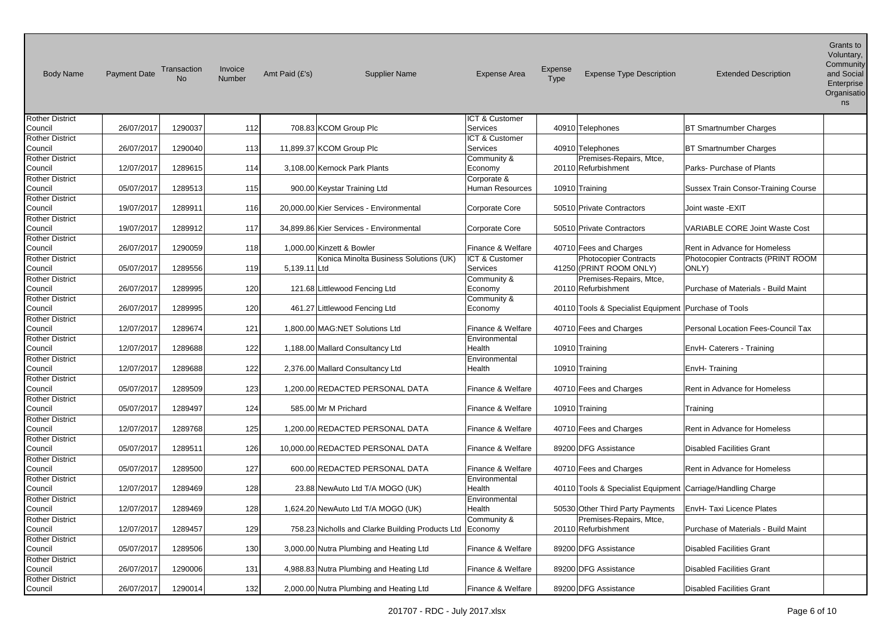| <b>Body Name</b>                  | <b>Payment Date</b> | Transaction<br><b>No</b> | Invoice<br><b>Number</b> | Amt Paid (£'s) | <b>Supplier Name</b>                             | <b>Expense Area</b>       | <b>Expense</b><br>Type | <b>Expense Type Description</b>                        | <b>Extended Description</b>                | Grants to<br>Voluntary,<br>Community<br>and Social<br>Enterprise<br>Organisatio<br>ns |
|-----------------------------------|---------------------|--------------------------|--------------------------|----------------|--------------------------------------------------|---------------------------|------------------------|--------------------------------------------------------|--------------------------------------------|---------------------------------------------------------------------------------------|
| <b>Rother District</b>            |                     |                          |                          |                |                                                  | <b>ICT &amp; Customer</b> |                        |                                                        |                                            |                                                                                       |
| Council                           | 26/07/2017          | 1290037                  | 112                      |                | 708.83 KCOM Group Plc                            | Services                  |                        | 40910 Telephones                                       | <b>BT Smartnumber Charges</b>              |                                                                                       |
| <b>Rother District</b>            |                     |                          |                          |                |                                                  | <b>ICT &amp; Customer</b> |                        |                                                        |                                            |                                                                                       |
| Council                           | 26/07/2017          | 1290040                  | 113                      |                | 11,899.37 KCOM Group Plc                         | Services                  |                        | 40910 Telephones                                       | <b>BT Smartnumber Charges</b>              |                                                                                       |
| <b>Rother District</b>            |                     |                          |                          |                |                                                  | Community &               |                        | Premises-Repairs, Mtce,                                |                                            |                                                                                       |
| Council                           | 12/07/2017          | 1289615                  | 114                      |                | 3,108.00 Kernock Park Plants                     | Economy                   |                        | 20110 Refurbishment                                    | Parks-Purchase of Plants                   |                                                                                       |
| <b>Rother District</b>            |                     |                          |                          |                |                                                  | Corporate &               |                        |                                                        |                                            |                                                                                       |
| Council                           | 05/07/2017          | 1289513                  | 115                      |                | 900.00 Keystar Training Ltd                      | Human Resources           |                        | 10910 Training                                         | <b>Sussex Train Consor-Training Course</b> |                                                                                       |
| <b>Rother District</b>            |                     |                          |                          |                |                                                  |                           |                        |                                                        |                                            |                                                                                       |
| Council                           | 19/07/2017          | 1289911                  | <b>116</b>               |                | 20,000.00 Kier Services - Environmental          | Corporate Core            |                        | 50510 Private Contractors                              | Joint waste - EXIT                         |                                                                                       |
| <b>Rother District</b>            |                     |                          |                          |                |                                                  |                           |                        |                                                        |                                            |                                                                                       |
| Council                           | 19/07/2017          | 1289912                  | 117                      |                | 34,899.86 Kier Services - Environmental          | Corporate Core            |                        | 50510 Private Contractors                              | VARIABLE CORE Joint Waste Cost             |                                                                                       |
| <b>Rother District</b>            |                     |                          |                          |                |                                                  |                           |                        |                                                        |                                            |                                                                                       |
| Council                           | 26/07/2017          | 1290059                  | 118                      |                | 1,000.00 Kinzett & Bowler                        | Finance & Welfare         |                        | 40710 Fees and Charges                                 | Rent in Advance for Homeless               |                                                                                       |
| <b>Rother District</b>            |                     |                          |                          |                | Konica Minolta Business Solutions (UK)           | ICT & Customer            |                        | <b>Photocopier Contracts</b>                           | Photocopier Contracts (PRINT ROOM          |                                                                                       |
| Council                           | 05/07/2017          | 1289556                  | 119                      | 5,139.11 Ltd   |                                                  | Services                  |                        | 41250 (PRINT ROOM ONLY)                                | ONLY)                                      |                                                                                       |
| <b>Rother District</b>            |                     |                          |                          |                |                                                  | Community &               |                        | Premises-Repairs, Mtce,                                |                                            |                                                                                       |
| Council                           | 26/07/2017          | 1289995                  | 120                      |                | 121.68 Littlewood Fencing Ltd                    | Economy                   |                        | 20110 Refurbishment                                    | Purchase of Materials - Build Maint        |                                                                                       |
| <b>Rother District</b>            |                     |                          |                          |                |                                                  | Community &               |                        |                                                        |                                            |                                                                                       |
| Council                           | 26/07/2017          | 1289995                  | 120                      |                | 461.27 Littlewood Fencing Ltd                    | Economy                   |                        | 40110 Tools & Specialist Equipment   Purchase of Tools |                                            |                                                                                       |
| Rother District                   |                     |                          |                          |                |                                                  |                           |                        |                                                        |                                            |                                                                                       |
| Council                           | 12/07/2017          | 1289674                  | 121                      |                | 1,800.00 MAG:NET Solutions Ltd                   | Finance & Welfare         |                        | 40710 Fees and Charges                                 | Personal Location Fees-Council Tax         |                                                                                       |
| <b>Rother District</b>            |                     |                          |                          |                |                                                  | Environmental             |                        |                                                        |                                            |                                                                                       |
| Council                           | 12/07/2017          | 1289688                  | 122                      |                | 1,188.00 Mallard Consultancy Ltd                 | Health                    |                        | 10910 Training                                         | EnvH- Caterers - Training                  |                                                                                       |
| <b>Rother District</b>            |                     |                          |                          |                |                                                  | Environmental             |                        |                                                        |                                            |                                                                                       |
| Council                           | 12/07/2017          | 1289688                  | 122                      |                | 2,376.00 Mallard Consultancy Ltd                 | Health                    |                        | 10910 Training                                         | EnvH-Training                              |                                                                                       |
| <b>Rother District</b>            |                     |                          |                          |                |                                                  |                           |                        |                                                        |                                            |                                                                                       |
| Council                           | 05/07/2017          | 1289509                  | 123                      |                | 1,200.00 REDACTED PERSONAL DATA                  | Finance & Welfare         |                        | 40710 Fees and Charges                                 | Rent in Advance for Homeless               |                                                                                       |
| <b>Rother District</b><br>Council | 05/07/2017          | 1289497                  | 124                      |                | 585.00 Mr M Prichard                             | Finance & Welfare         |                        | 10910 Training                                         |                                            |                                                                                       |
|                                   |                     |                          |                          |                |                                                  |                           |                        |                                                        | Training                                   |                                                                                       |
| <b>Rother District</b><br>Council | 12/07/2017          | 1289768                  | 125                      |                | 1,200.00 REDACTED PERSONAL DATA                  | Finance & Welfare         |                        | 40710 Fees and Charges                                 | Rent in Advance for Homeless               |                                                                                       |
| <b>Rother District</b>            |                     |                          |                          |                |                                                  |                           |                        |                                                        |                                            |                                                                                       |
| Council                           | 05/07/2017          | 1289511                  | 126                      |                | 10,000.00 REDACTED PERSONAL DATA                 | Finance & Welfare         |                        | 89200 DFG Assistance                                   | <b>Disabled Facilities Grant</b>           |                                                                                       |
| <b>Rother District</b>            |                     |                          |                          |                |                                                  |                           |                        |                                                        |                                            |                                                                                       |
| Council                           | 05/07/2017          | 1289500                  | 127                      |                | 600.00 REDACTED PERSONAL DATA                    | Finance & Welfare         |                        | 40710 Fees and Charges                                 | Rent in Advance for Homeless               |                                                                                       |
| <b>Rother District</b>            |                     |                          |                          |                |                                                  | Environmental             |                        |                                                        |                                            |                                                                                       |
| Council                           | 12/07/2017          | 1289469                  | 128                      |                | 23.88 NewAuto Ltd T/A MOGO (UK)                  | Health                    |                        | 40110 Tools & Specialist Equipment                     | Carriage/Handling Charge                   |                                                                                       |
| <b>Rother District</b>            |                     |                          |                          |                |                                                  | Environmental             |                        |                                                        |                                            |                                                                                       |
| Council                           | 12/07/2017          | 1289469                  | 128                      |                | 1,624.20 NewAuto Ltd T/A MOGO (UK)               | Health                    |                        | 50530 Other Third Party Payments                       | EnvH-Taxi Licence Plates                   |                                                                                       |
| <b>Rother District</b>            |                     |                          |                          |                |                                                  | Community &               |                        | Premises-Repairs, Mtce,                                |                                            |                                                                                       |
| Council                           | 12/07/2017          | 1289457                  | 129                      |                | 758.23 Nicholls and Clarke Building Products Ltd | Economy                   |                        | 20110 Refurbishment                                    | Purchase of Materials - Build Maint        |                                                                                       |
| <b>Rother District</b>            |                     |                          |                          |                |                                                  |                           |                        |                                                        |                                            |                                                                                       |
| Council                           | 05/07/2017          | 1289506                  | 130                      |                | 3,000.00 Nutra Plumbing and Heating Ltd          | Finance & Welfare         |                        | 89200 DFG Assistance                                   | <b>Disabled Facilities Grant</b>           |                                                                                       |
| <b>Rother District</b>            |                     |                          |                          |                |                                                  |                           |                        |                                                        |                                            |                                                                                       |
| Council                           | 26/07/2017          | 1290006                  | 131                      |                | 4,988.83 Nutra Plumbing and Heating Ltd          | Finance & Welfare         |                        | 89200 DFG Assistance                                   | <b>Disabled Facilities Grant</b>           |                                                                                       |
| <b>Rother District</b>            |                     |                          |                          |                |                                                  |                           |                        |                                                        |                                            |                                                                                       |
| Council                           | 26/07/2017          | 1290014                  | 132                      |                | 2,000.00 Nutra Plumbing and Heating Ltd          | Finance & Welfare         |                        | 89200 DFG Assistance                                   | <b>Disabled Facilities Grant</b>           |                                                                                       |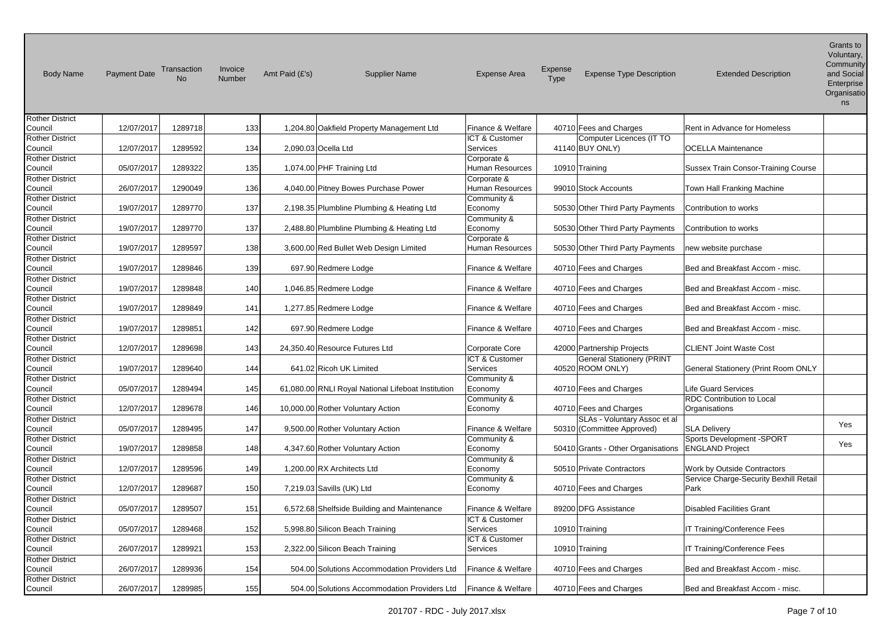| <b>Body Name</b>                  | <b>Payment Date</b> | Transaction | Invoice<br>Number | Amt Paid (£'s) | <b>Supplier Name</b>                               | <b>Expense Area</b>        | Expense<br>Type | <b>Expense Type Description</b>             | <b>Extended Description</b>                | Grants to<br>Voluntary,<br>Community<br>and Social<br>Enterprise<br>Organisatio<br>ns |
|-----------------------------------|---------------------|-------------|-------------------|----------------|----------------------------------------------------|----------------------------|-----------------|---------------------------------------------|--------------------------------------------|---------------------------------------------------------------------------------------|
| <b>Rother District</b>            | 12/07/2017          | 1289718     | 133               |                |                                                    | Finance & Welfare          |                 |                                             |                                            |                                                                                       |
| Council                           |                     |             |                   |                | 1,204.80 Oakfield Property Management Ltd          |                            |                 | 40710 Fees and Charges                      | Rent in Advance for Homeless               |                                                                                       |
| Rother District<br>Council        | 12/07/2017          | 1289592     | 134               |                | 2,090.03 Ocella Ltd                                | ICT & Customer<br>Services |                 | Computer Licences (IT TO<br>41140 BUY ONLY) | <b>OCELLA Maintenance</b>                  |                                                                                       |
| <b>Rother District</b>            |                     |             |                   |                |                                                    | Corporate &                |                 |                                             |                                            |                                                                                       |
| Council                           | 05/07/2017          | 1289322     | 135               |                | 1,074.00 PHF Training Ltd                          | Human Resources            |                 | 10910 Training                              | <b>Sussex Train Consor-Training Course</b> |                                                                                       |
| <b>Rother District</b>            |                     |             |                   |                |                                                    | Corporate &                |                 |                                             |                                            |                                                                                       |
| Council                           | 26/07/2017          | 1290049     | 136               |                | 4,040.00 Pitney Bowes Purchase Power               | <b>Human Resources</b>     |                 | 99010 Stock Accounts                        | Town Hall Franking Machine                 |                                                                                       |
| <b>Rother District</b>            |                     |             |                   |                |                                                    | Community &                |                 |                                             |                                            |                                                                                       |
| Council                           | 19/07/2017          | 1289770     | 137               |                | 2,198.35 Plumbline Plumbing & Heating Ltd          | Economy                    |                 | 50530 Other Third Party Payments            | Contribution to works                      |                                                                                       |
| <b>Rother District</b>            |                     |             |                   |                |                                                    | Community &                |                 |                                             |                                            |                                                                                       |
| Council                           | 19/07/2017          | 1289770     | 137               |                | 2,488.80 Plumbline Plumbing & Heating Ltd          | Economy                    |                 | 50530 Other Third Party Payments            | Contribution to works                      |                                                                                       |
| <b>Rother District</b>            |                     |             |                   |                |                                                    | Corporate &                |                 |                                             |                                            |                                                                                       |
| Council                           | 19/07/2017          | 1289597     | 138               |                | 3,600.00 Red Bullet Web Design Limited             | <b>Human Resources</b>     |                 | 50530 Other Third Party Payments            | new website purchase                       |                                                                                       |
| <b>Rother District</b>            |                     |             |                   |                |                                                    |                            |                 |                                             |                                            |                                                                                       |
| Council                           | 19/07/2017          | 1289846     | 139               |                | 697.90 Redmere Lodge                               | Finance & Welfare          |                 | 40710 Fees and Charges                      | Bed and Breakfast Accom - misc.            |                                                                                       |
| <b>Rother District</b>            |                     |             |                   |                |                                                    |                            |                 |                                             |                                            |                                                                                       |
| Council                           | 19/07/2017          | 1289848     | 140               |                | 1,046.85 Redmere Lodge                             | Finance & Welfare          |                 | 40710 Fees and Charges                      | Bed and Breakfast Accom - misc.            |                                                                                       |
| <b>Rother District</b>            |                     |             |                   |                |                                                    |                            |                 |                                             |                                            |                                                                                       |
| Council                           | 19/07/2017          | 1289849     | 141               |                | 1,277.85 Redmere Lodge                             | Finance & Welfare          |                 | 40710 Fees and Charges                      | Bed and Breakfast Accom - misc.            |                                                                                       |
| <b>Rother District</b>            |                     |             |                   |                |                                                    |                            |                 |                                             |                                            |                                                                                       |
| Council                           | 19/07/2017          | 1289851     | 142               |                | 697.90 Redmere Lodge                               | Finance & Welfare          |                 | 40710 Fees and Charges                      | Bed and Breakfast Accom - misc.            |                                                                                       |
| <b>Rother District</b>            |                     |             |                   |                |                                                    |                            |                 |                                             |                                            |                                                                                       |
| Council                           | 12/07/2017          | 1289698     | 143               |                | 24,350.40 Resource Futures Ltd                     | <b>Corporate Core</b>      |                 | 42000 Partnership Projects                  | <b>CLIENT Joint Waste Cost</b>             |                                                                                       |
| <b>Rother District</b>            |                     |             |                   |                |                                                    | ICT & Customer             |                 | <b>General Stationery (PRINT</b>            |                                            |                                                                                       |
|                                   | 19/07/2017          | 1289640     | 144               |                | 641.02 Ricoh UK Limited                            | Services                   |                 | 40520 ROOM ONLY)                            |                                            |                                                                                       |
| Council                           |                     |             |                   |                |                                                    |                            |                 |                                             | General Stationery (Print Room ONLY        |                                                                                       |
| <b>Rother District</b>            |                     |             |                   |                |                                                    | Community &                |                 |                                             |                                            |                                                                                       |
| Council                           | 05/07/2017          | 1289494     | 145               |                | 61,080.00 RNLI Royal National Lifeboat Institution | Economy                    |                 | 40710 Fees and Charges                      | <b>Life Guard Services</b>                 |                                                                                       |
| <b>Rother District</b>            |                     |             |                   |                |                                                    | Community &                |                 |                                             | RDC Contribution to Local                  |                                                                                       |
| Council                           | 12/07/2017          | 1289678     | 146               |                | 10,000.00 Rother Voluntary Action                  | Economy                    |                 | 40710 Fees and Charges                      | Organisations                              |                                                                                       |
| <b>Rother District</b>            |                     |             |                   |                |                                                    |                            |                 | SLAs - Voluntary Assoc et al                |                                            | Yes                                                                                   |
| Council                           | 05/07/2017          | 1289495     | 147               |                | 9,500.00 Rother Voluntary Action                   | Finance & Welfare          |                 | 50310 (Committee Approved)                  | <b>SLA Delivery</b>                        |                                                                                       |
| <b>Rother District</b>            |                     |             |                   |                |                                                    | Community &                |                 |                                             | Sports Development -SPORT                  | Yes                                                                                   |
| Council                           | 19/07/2017          | 1289858     | 148               |                | 4,347.60 Rother Voluntary Action                   | Economy                    |                 | 50410 Grants - Other Organisations          | <b>ENGLAND Project</b>                     |                                                                                       |
| <b>Rother District</b>            |                     |             |                   |                |                                                    | Community &                |                 |                                             |                                            |                                                                                       |
| Council                           | 12/07/2017          | 1289596     | 149               |                | 1,200.00 RX Architects Ltd                         | Economy                    |                 | 50510 Private Contractors                   | Work by Outside Contractors                |                                                                                       |
| <b>Rother District</b>            |                     |             |                   |                |                                                    | Community &                |                 |                                             | Service Charge-Security Bexhill Retail     |                                                                                       |
| Council                           | 12/07/2017          | 1289687     | 150               |                | 7,219.03 Savills (UK) Ltd                          | Economy                    |                 | 40710 Fees and Charges                      | Park                                       |                                                                                       |
| <b>Rother District</b>            |                     |             |                   |                |                                                    |                            |                 |                                             |                                            |                                                                                       |
| Council                           | 05/07/2017          | 1289507     | 151               |                | 6,572.68 Shelfside Building and Maintenance        | Finance & Welfare          |                 | 89200 DFG Assistance                        | <b>Disabled Facilities Grant</b>           |                                                                                       |
| <b>Rother District</b>            |                     |             |                   |                |                                                    | ICT & Customer             |                 |                                             |                                            |                                                                                       |
| Council                           | 05/07/2017          | 1289468     | 152               |                | 5,998.80 Silicon Beach Training                    | Services                   |                 | 10910 Training                              | IT Training/Conference Fees                |                                                                                       |
| <b>Rother District</b>            |                     |             |                   |                |                                                    | ICT & Customer             |                 |                                             |                                            |                                                                                       |
| Council                           | 26/07/2017          | 1289921     | 153               |                | 2,322.00 Silicon Beach Training                    | Services                   |                 | 10910 Training                              | <b>IT Training/Conference Fees</b>         |                                                                                       |
| <b>Rother District</b>            |                     |             |                   |                |                                                    |                            |                 |                                             |                                            |                                                                                       |
| Council                           | 26/07/2017          | 1289936     | 154               |                | 504.00 Solutions Accommodation Providers Ltd       | Finance & Welfare          |                 | 40710 Fees and Charges                      | Bed and Breakfast Accom - misc.            |                                                                                       |
|                                   |                     |             |                   |                |                                                    |                            |                 |                                             |                                            |                                                                                       |
| <b>Rother District</b><br>Council | 26/07/2017          | 1289985     | 155               |                | 504.00 Solutions Accommodation Providers Ltd       | Finance & Welfare          |                 | 40710 Fees and Charges                      | Bed and Breakfast Accom - misc.            |                                                                                       |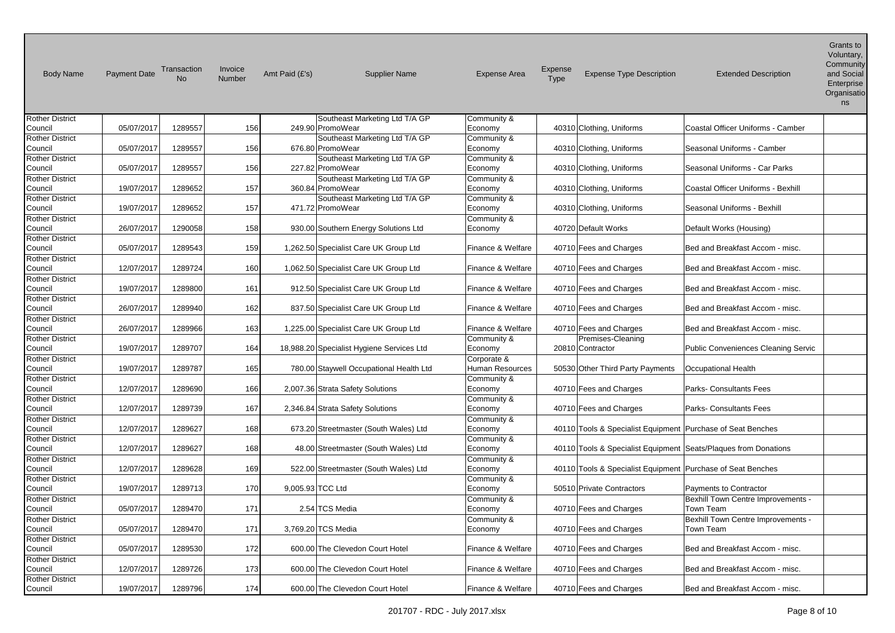| <b>Body Name</b>                  | <b>Payment Date</b> | Transaction<br><b>No</b> | Invoice<br>Number | Amt Paid (£'s) | <b>Supplier Name</b>                      | <b>Expense Area</b>    | <b>Expense</b><br>Type | <b>Expense Type Description</b>                             | <b>Extended Description</b>                                     | Grants to<br>Voluntary,<br>Community<br>and Social<br>Enterprise<br>Organisatio<br>ns |
|-----------------------------------|---------------------|--------------------------|-------------------|----------------|-------------------------------------------|------------------------|------------------------|-------------------------------------------------------------|-----------------------------------------------------------------|---------------------------------------------------------------------------------------|
| <b>Rother District</b>            |                     |                          |                   |                | Southeast Marketing Ltd T/A GP            | Community &            |                        |                                                             |                                                                 |                                                                                       |
| Council                           | 05/07/2017          | 1289557                  | 156               |                | 249.90 PromoWear                          | Economy                |                        | 40310 Clothing, Uniforms                                    | Coastal Officer Uniforms - Camber                               |                                                                                       |
| <b>Rother District</b>            |                     |                          |                   |                | Southeast Marketing Ltd T/A GP            | Community &            |                        |                                                             |                                                                 |                                                                                       |
| Council                           | 05/07/2017          | 1289557                  | 156               |                | 676.80 PromoWear                          | Economy                |                        | 40310 Clothing, Uniforms                                    | Seasonal Uniforms - Camber                                      |                                                                                       |
| <b>Rother District</b>            |                     |                          |                   |                | Southeast Marketing Ltd T/A GP            | Community &            |                        |                                                             |                                                                 |                                                                                       |
| Council                           | 05/07/2017          | 1289557                  | 156               |                | 227.82 PromoWear                          | Economy                |                        | 40310 Clothing, Uniforms                                    | Seasonal Uniforms - Car Parks                                   |                                                                                       |
| <b>Rother District</b>            |                     |                          |                   |                | Southeast Marketing Ltd T/A GP            | Community &            |                        |                                                             |                                                                 |                                                                                       |
| Council                           | 19/07/2017          | 1289652                  | 157               |                | 360.84 PromoWear                          | Economy                |                        | 40310 Clothing, Uniforms                                    | Coastal Officer Uniforms - Bexhill                              |                                                                                       |
| <b>Rother District</b>            |                     |                          |                   |                | Southeast Marketing Ltd T/A GP            | Community &            |                        |                                                             |                                                                 |                                                                                       |
| Council                           | 19/07/2017          | 1289652                  | 157               |                | 471.72 PromoWear                          | Economy                |                        | 40310 Clothing, Uniforms                                    | Seasonal Uniforms - Bexhill                                     |                                                                                       |
| <b>Rother District</b>            |                     |                          |                   |                |                                           | Community &            |                        |                                                             |                                                                 |                                                                                       |
| Council                           | 26/07/2017          | 1290058                  | 158               |                | 930.00 Southern Energy Solutions Ltd      | Economy                |                        | 40720 Default Works                                         | Default Works (Housing)                                         |                                                                                       |
| <b>Rother District</b>            |                     |                          |                   |                |                                           |                        |                        |                                                             |                                                                 |                                                                                       |
| Council                           | 05/07/2017          | 1289543                  | 159               |                | 1,262.50 Specialist Care UK Group Ltd     | Finance & Welfare      |                        | 40710 Fees and Charges                                      | Bed and Breakfast Accom - misc.                                 |                                                                                       |
| <b>Rother District</b>            |                     |                          |                   |                |                                           |                        |                        |                                                             |                                                                 |                                                                                       |
| Council                           | 12/07/2017          | 1289724                  | 160               |                | 1,062.50 Specialist Care UK Group Ltd     | Finance & Welfare      |                        | 40710 Fees and Charges                                      | Bed and Breakfast Accom - misc.                                 |                                                                                       |
| <b>Rother District</b>            |                     |                          |                   |                |                                           |                        |                        |                                                             |                                                                 |                                                                                       |
| Council                           | 19/07/2017          | 1289800                  | 161               |                | 912.50 Specialist Care UK Group Ltd       | Finance & Welfare      |                        | 40710 Fees and Charges                                      | Bed and Breakfast Accom - misc.                                 |                                                                                       |
| <b>Rother District</b>            |                     |                          |                   |                |                                           |                        |                        |                                                             |                                                                 |                                                                                       |
| Council                           | 26/07/2017          | 1289940                  | 162               |                | 837.50 Specialist Care UK Group Ltd       | Finance & Welfare      |                        | 40710 Fees and Charges                                      | Bed and Breakfast Accom - misc.                                 |                                                                                       |
| <b>Rother District</b>            |                     |                          |                   |                |                                           |                        |                        |                                                             |                                                                 |                                                                                       |
| Council                           | 26/07/2017          | 1289966                  | 163               |                | 1,225.00 Specialist Care UK Group Ltd     | Finance & Welfare      |                        | 40710 Fees and Charges                                      | Bed and Breakfast Accom - misc.                                 |                                                                                       |
| <b>Rother District</b>            |                     |                          |                   |                |                                           | Community &            |                        | Premises-Cleaning                                           |                                                                 |                                                                                       |
| Council                           | 19/07/2017          | 1289707                  | 164               |                | 18,988.20 Specialist Hygiene Services Ltd | Economy                |                        | 20810 Contractor                                            | Public Conveniences Cleaning Servic                             |                                                                                       |
| <b>Rother District</b>            |                     |                          |                   |                |                                           | Corporate &            |                        |                                                             |                                                                 |                                                                                       |
| Council                           | 19/07/2017          | 1289787                  | 165               |                | 780.00 Staywell Occupational Health Ltd   | Human Resources        |                        | 50530 Other Third Party Payments                            | <b>Occupational Health</b>                                      |                                                                                       |
| <b>Rother District</b>            | 12/07/2017          |                          |                   |                |                                           | Community &            |                        |                                                             |                                                                 |                                                                                       |
| Council                           |                     | 1289690                  | 166               |                | 2,007.36 Strata Safety Solutions          | Economy                |                        | 40710 Fees and Charges                                      | Parks- Consultants Fees                                         |                                                                                       |
| <b>Rother District</b><br>Council | 12/07/2017          | 1289739                  | 167               |                | 2,346.84 Strata Safety Solutions          | Community &<br>Economy |                        | 40710 Fees and Charges                                      | <b>Parks- Consultants Fees</b>                                  |                                                                                       |
| <b>Rother District</b>            |                     |                          |                   |                |                                           | Community &            |                        |                                                             |                                                                 |                                                                                       |
| Council                           | 12/07/2017          | 1289627                  | 168               |                | 673.20 Streetmaster (South Wales) Ltd     | Economy                |                        | 40110 Tools & Specialist Equipment Purchase of Seat Benches |                                                                 |                                                                                       |
| <b>Rother District</b>            |                     |                          |                   |                |                                           | Community &            |                        |                                                             |                                                                 |                                                                                       |
| Council                           | 12/07/2017          | 1289627                  | 168               |                | 48.00 Streetmaster (South Wales) Ltd      | Economy                |                        |                                                             | 40110 Tools & Specialist Equipment Seats/Plaques from Donations |                                                                                       |
| <b>Rother District</b>            |                     |                          |                   |                |                                           | Community &            |                        |                                                             |                                                                 |                                                                                       |
| Council                           | 12/07/2017          | 1289628                  | 169               |                | 522.00 Streetmaster (South Wales) Ltd     | Economy                |                        | 40110 Tools & Specialist Equipment Purchase of Seat Benches |                                                                 |                                                                                       |
| <b>Rother District</b>            |                     |                          |                   |                |                                           | Community &            |                        |                                                             |                                                                 |                                                                                       |
| Council                           | 19/07/2017          | 1289713                  | <b>170</b>        |                | 9,005.93 TCC Ltd                          | Economy                |                        | 50510 Private Contractors                                   | <b>Payments to Contractor</b>                                   |                                                                                       |
| <b>Rother District</b>            |                     |                          |                   |                |                                           | Community &            |                        |                                                             | Bexhill Town Centre Improvements -                              |                                                                                       |
| Council                           | 05/07/2017          | 1289470                  | 171               |                | 2.54 TCS Media                            | Economy                |                        | 40710 Fees and Charges                                      | Town Team                                                       |                                                                                       |
| <b>Rother District</b>            |                     |                          |                   |                |                                           | Community &            |                        |                                                             | Bexhill Town Centre Improvements -                              |                                                                                       |
| Council                           | 05/07/2017          | 1289470                  | 171               |                | 3,769.20 TCS Media                        | Economy                |                        | 40710 Fees and Charges                                      | Town Team                                                       |                                                                                       |
| <b>Rother District</b>            |                     |                          |                   |                |                                           |                        |                        |                                                             |                                                                 |                                                                                       |
| Council                           | 05/07/2017          | 1289530                  | 172               |                | 600.00 The Clevedon Court Hotel           | Finance & Welfare      |                        | 40710 Fees and Charges                                      | Bed and Breakfast Accom - misc.                                 |                                                                                       |
| <b>Rother District</b>            |                     |                          |                   |                |                                           |                        |                        |                                                             |                                                                 |                                                                                       |
| Council                           | 12/07/2017          | 1289726                  | 173               |                | 600.00 The Clevedon Court Hotel           | Finance & Welfare      |                        | 40710 Fees and Charges                                      | Bed and Breakfast Accom - misc.                                 |                                                                                       |
| <b>Rother District</b>            |                     |                          |                   |                |                                           |                        |                        |                                                             |                                                                 |                                                                                       |
| Council                           | 19/07/2017          | 1289796                  | 174l              |                | 600.00 The Clevedon Court Hotel           | Finance & Welfare      |                        | 40710 Fees and Charges                                      | Bed and Breakfast Accom - misc.                                 |                                                                                       |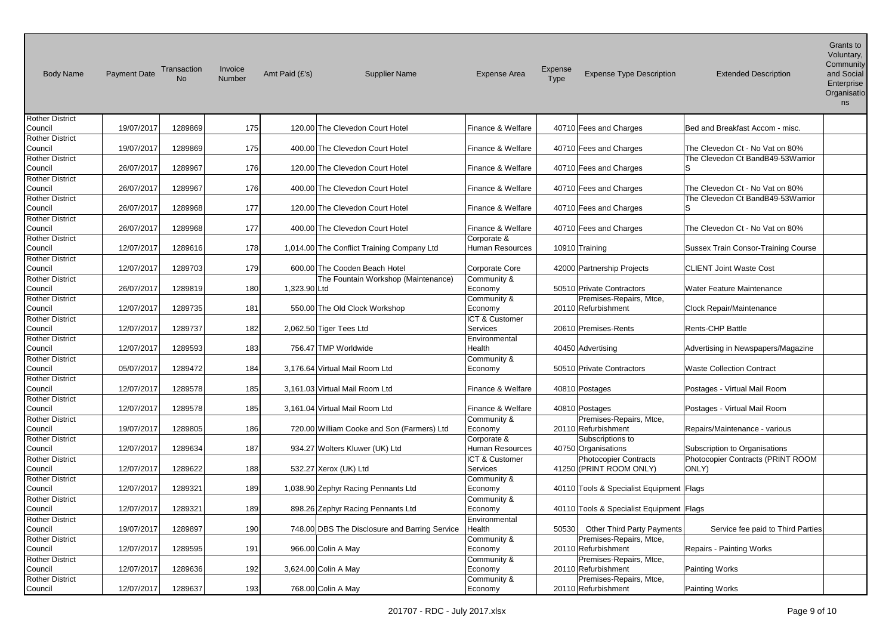| <b>Body Name</b>                  | <b>Payment Date</b> | Transaction<br>No | Invoice<br>Number | Amt Paid (£'s) | <b>Supplier Name</b>                          | <b>Expense Area</b>    | Expense<br>Type | <b>Expense Type Description</b>            | <b>Extended Description</b>         | Grants to<br>Voluntary,<br>Community<br>and Social<br>Enterprise<br>Organisatio<br>ns |
|-----------------------------------|---------------------|-------------------|-------------------|----------------|-----------------------------------------------|------------------------|-----------------|--------------------------------------------|-------------------------------------|---------------------------------------------------------------------------------------|
| <b>Rother District</b>            |                     |                   |                   |                |                                               |                        |                 |                                            |                                     |                                                                                       |
| Council                           | 19/07/2017          | 1289869           | 175               |                | 120.00 The Clevedon Court Hotel               | Finance & Welfare      |                 | 40710 Fees and Charges                     | Bed and Breakfast Accom - misc.     |                                                                                       |
| <b>Rother District</b>            |                     |                   |                   |                |                                               |                        |                 |                                            |                                     |                                                                                       |
| Council                           | 19/07/2017          | 1289869           | 175               |                | 400.00 The Clevedon Court Hotel               | Finance & Welfare      |                 | 40710 Fees and Charges                     | The Clevedon Ct - No Vat on 80%     |                                                                                       |
| <b>Rother District</b>            |                     |                   |                   |                |                                               |                        |                 |                                            | The Clevedon Ct BandB49-53Warrior   |                                                                                       |
| Council                           | 26/07/2017          | 1289967           | 176               |                | 120.00 The Clevedon Court Hotel               | Finance & Welfare      |                 | 40710 Fees and Charges                     | ls                                  |                                                                                       |
| <b>Rother District</b>            |                     |                   |                   |                |                                               |                        |                 |                                            |                                     |                                                                                       |
| Council                           | 26/07/2017          | 1289967           | 176               |                | 400.00 The Clevedon Court Hotel               | Finance & Welfare      |                 | 40710 Fees and Charges                     | The Clevedon Ct - No Vat on 80%     |                                                                                       |
| <b>Rother District</b>            |                     |                   |                   |                |                                               |                        |                 |                                            | The Clevedon Ct BandB49-53Warrior   |                                                                                       |
| Council                           | 26/07/2017          | 1289968           | 177               |                | 120.00 The Clevedon Court Hotel               | Finance & Welfare      |                 | 40710 Fees and Charges                     | ls                                  |                                                                                       |
| <b>Rother District</b>            |                     |                   |                   |                |                                               |                        |                 |                                            |                                     |                                                                                       |
| Council                           | 26/07/2017          | 1289968           | 177               |                | 400.00 The Clevedon Court Hotel               | Finance & Welfare      |                 | 40710 Fees and Charges                     | The Clevedon Ct - No Vat on 80%     |                                                                                       |
| <b>Rother District</b>            |                     |                   |                   |                |                                               | Corporate &            |                 |                                            |                                     |                                                                                       |
| Council                           | 12/07/2017          | 1289616           | 178               |                | 1,014.00 The Conflict Training Company Ltd    | <b>Human Resources</b> |                 | 10910 Training                             | Sussex Train Consor-Training Course |                                                                                       |
| <b>Rother District</b>            |                     |                   |                   |                |                                               |                        |                 |                                            |                                     |                                                                                       |
| Council                           | 12/07/2017          | 1289703           | 179               |                | 600.00 The Cooden Beach Hotel                 | Corporate Core         |                 | 42000 Partnership Projects                 | <b>CLIENT Joint Waste Cost</b>      |                                                                                       |
| Rother District                   |                     |                   |                   |                | The Fountain Workshop (Maintenance)           | Community &            |                 |                                            |                                     |                                                                                       |
| Council                           | 26/07/2017          | 1289819           | 180               | 1,323.90 Ltd   |                                               | Economy                |                 | 50510 Private Contractors                  | Water Feature Maintenance           |                                                                                       |
| <b>Rother District</b>            |                     |                   |                   |                |                                               | Community &            |                 | Premises-Repairs, Mtce,                    |                                     |                                                                                       |
| Council                           | 12/07/2017          | 1289735           | 181               |                | 550.00 The Old Clock Workshop                 | Economy                |                 | 20110 Refurbishment                        | Clock Repair/Maintenance            |                                                                                       |
| <b>Rother District</b>            |                     |                   |                   |                |                                               | ICT & Customer         |                 |                                            |                                     |                                                                                       |
| Council                           | 12/07/2017          | 1289737           | 182               |                | 2,062.50 Tiger Tees Ltd                       | Services               |                 | 20610 Premises-Rents                       | <b>Rents-CHP Battle</b>             |                                                                                       |
| <b>Rother District</b>            |                     |                   |                   |                |                                               | Environmental          |                 |                                            |                                     |                                                                                       |
| Council                           | 12/07/2017          | 1289593           | 183               |                | 756.47 TMP Worldwide                          | Health                 |                 | 40450 Advertising                          | Advertising in Newspapers/Magazine  |                                                                                       |
| <b>Rother District</b><br>Council | 05/07/2017          | 1289472           | 184               |                | 3,176.64 Virtual Mail Room Ltd                | Community &            |                 | 50510 Private Contractors                  | <b>Waste Collection Contract</b>    |                                                                                       |
| <b>Rother District</b>            |                     |                   |                   |                |                                               | Economy                |                 |                                            |                                     |                                                                                       |
| Council                           | 12/07/2017          | 1289578           | 185               |                | 3,161.03 Virtual Mail Room Ltd                | Finance & Welfare      |                 | 40810 Postages                             | Postages - Virtual Mail Room        |                                                                                       |
| <b>Rother District</b>            |                     |                   |                   |                |                                               |                        |                 |                                            |                                     |                                                                                       |
| Council                           | 12/07/2017          | 1289578           | 185               |                | 3,161.04 Virtual Mail Room Ltd                | Finance & Welfare      |                 | 40810 Postages                             | Postages - Virtual Mail Room        |                                                                                       |
| <b>Rother District</b>            |                     |                   |                   |                |                                               | Community &            |                 | Premises-Repairs, Mtce,                    |                                     |                                                                                       |
| Council                           | 19/07/2017          | 1289805           | 186               |                | 720.00 William Cooke and Son (Farmers) Ltd    | Economy                |                 | 20110 Refurbishment                        | Repairs/Maintenance - various       |                                                                                       |
| <b>Rother District</b>            |                     |                   |                   |                |                                               | Corporate &            |                 | Subscriptions to                           |                                     |                                                                                       |
| Council                           | 12/07/2017          | 1289634           | 187               |                | 934.27 Wolters Kluwer (UK) Ltd                | <b>Human Resources</b> |                 | 40750 Organisations                        | Subscription to Organisations       |                                                                                       |
| <b>Rother District</b>            |                     |                   |                   |                |                                               | ICT & Customer         |                 | <b>Photocopier Contracts</b>               | Photocopier Contracts (PRINT ROOM   |                                                                                       |
| Council                           | 12/07/2017          | 1289622           | 188               |                | 532.27 Xerox (UK) Ltd                         | Services               |                 | 41250 (PRINT ROOM ONLY)                    | ONLY)                               |                                                                                       |
| <b>Rother District</b>            |                     |                   |                   |                |                                               | Community &            |                 |                                            |                                     |                                                                                       |
| Council                           | 12/07/2017          | 1289321           | 189               |                | 1,038.90 Zephyr Racing Pennants Ltd           | Economy                |                 | 40110 Tools & Specialist Equipment Flags   |                                     |                                                                                       |
| <b>Rother District</b>            |                     |                   |                   |                |                                               | Community &            |                 |                                            |                                     |                                                                                       |
| Council                           | 12/07/2017          | 1289321           | 189               |                | 898.26 Zephyr Racing Pennants Ltd             | Economy                |                 | 40110 Tools & Specialist Equipment   Flags |                                     |                                                                                       |
| <b>Rother District</b>            |                     |                   |                   |                |                                               | Environmental          |                 |                                            |                                     |                                                                                       |
| Council                           | 19/07/2017          | 1289897           | 190               |                | 748.00 DBS The Disclosure and Barring Service | Health                 | 50530           | Other Third Party Payments                 | Service fee paid to Third Parties   |                                                                                       |
| <b>Rother District</b>            |                     |                   |                   |                |                                               | Community &            |                 | Premises-Repairs, Mtce,                    |                                     |                                                                                       |
| Council                           | 12/07/2017          | 1289595           | 191               |                | 966.00 Colin A May                            | Economy                |                 | 20110 Refurbishment                        | <b>Repairs - Painting Works</b>     |                                                                                       |
| <b>Rother District</b>            |                     |                   |                   |                |                                               | Community &            |                 | Premises-Repairs, Mtce,                    |                                     |                                                                                       |
| Council                           | 12/07/2017          | 1289636           | 192               |                | 3,624.00 Colin A May                          | Economy                |                 | 20110 Refurbishment                        | <b>Painting Works</b>               |                                                                                       |
| <b>Rother District</b>            |                     |                   |                   |                |                                               | Community &            |                 | Premises-Repairs, Mtce,                    |                                     |                                                                                       |
| Council                           | 12/07/2017          | 1289637           | 193               |                | 768.00 Colin A May                            | Economy                |                 | 20110 Refurbishment                        | <b>Painting Works</b>               |                                                                                       |